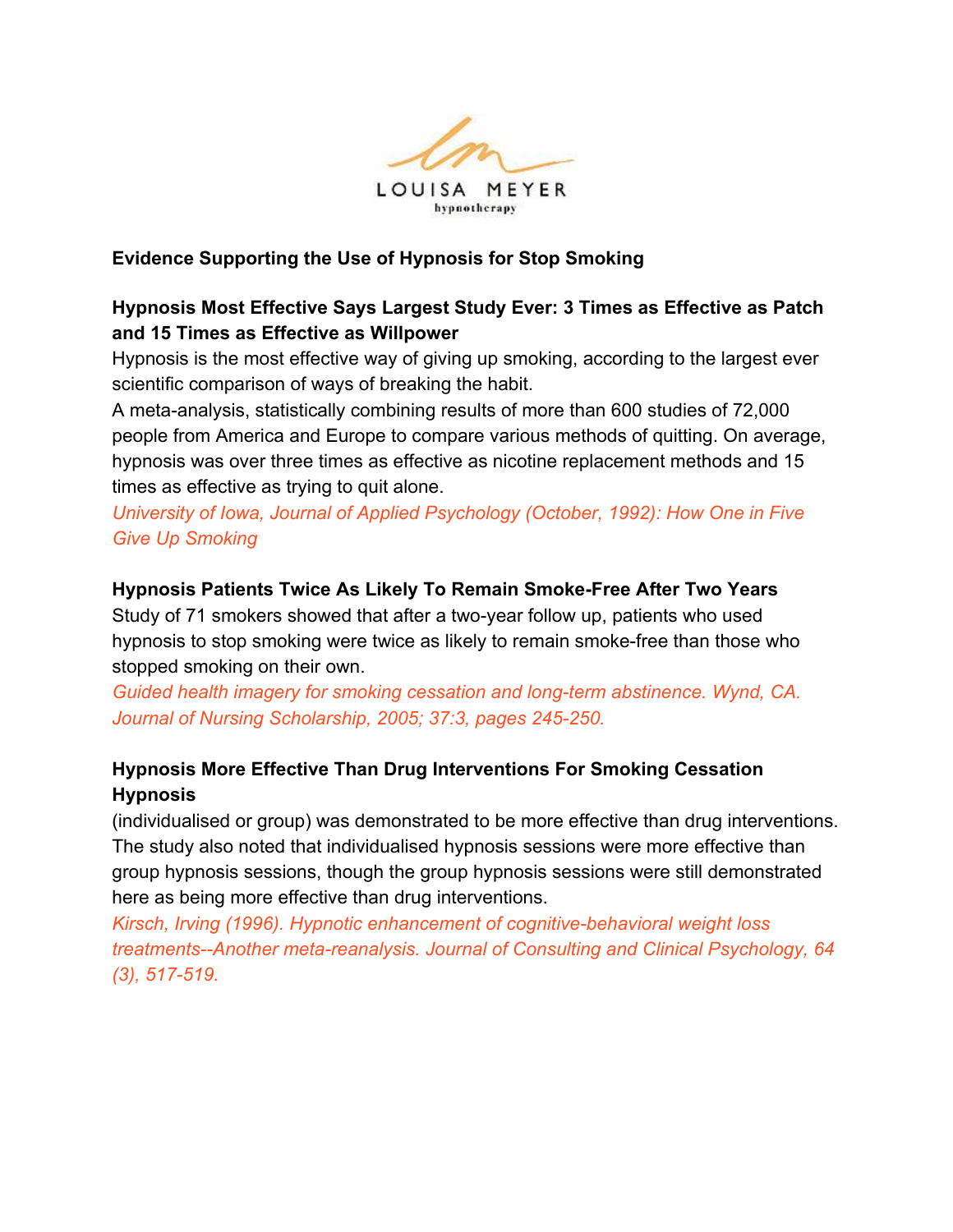

### **Evidence Supporting the Use of Hypnosis for Stop Smoking**

## **Hypnosis Most Effective Says Largest Study Ever: 3 Times as Effective as Patch and 15 Times as Effective as Willpower**

Hypnosis is the most effective way of giving up smoking, according to the largest ever scientific comparison of ways of breaking the habit.

A meta-analysis, statistically combining results of more than 600 studies of 72,000 people from America and Europe to compare various methods of quitting. On average, hypnosis was over three times as effective as nicotine replacement methods and 15 times as effective as trying to quit alone.

*University of Iowa, Journal of Applied Psychology (October, 1992): How One in Five Give Up Smoking*

#### **Hypnosis Patients Twice As Likely To Remain Smoke-Free After Two Years**

Study of 71 smokers showed that after a two-year follow up, patients who used hypnosis to stop smoking were twice as likely to remain smoke-free than those who stopped smoking on their own.

*Guided health imagery for smoking cessation and long-term abstinence. Wynd, CA. Journal of Nursing Scholarship, 2005; 37:3, pages 245-250.*

# **Hypnosis More Effective Than Drug Interventions For Smoking Cessation Hypnosis**

(individualised or group) was demonstrated to be more effective than drug interventions. The study also noted that individualised hypnosis sessions were more effective than group hypnosis sessions, though the group hypnosis sessions were still demonstrated here as being more effective than drug interventions.

*Kirsch, Irving (1996). Hypnotic enhancement of cognitive-behavioral weight loss treatments--Another meta-reanalysis. Journal of Consulting and Clinical Psychology, 64 (3), 517-519.*